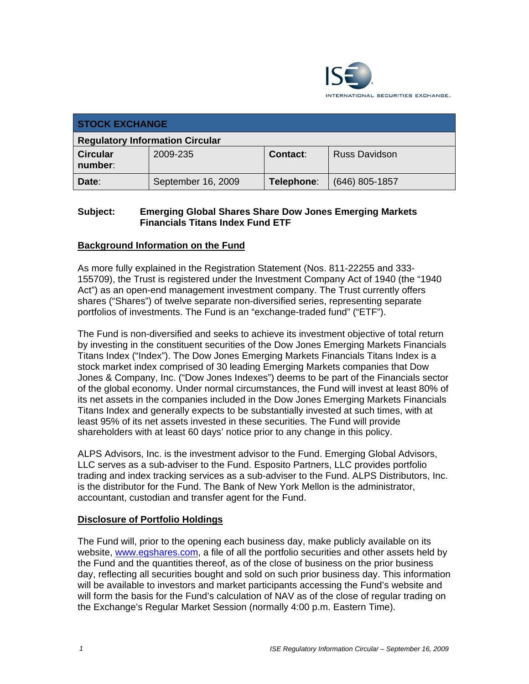

| <b>STOCK EXCHANGE</b>                  |                    |            |                      |  |  |
|----------------------------------------|--------------------|------------|----------------------|--|--|
| <b>Regulatory Information Circular</b> |                    |            |                      |  |  |
| <b>Circular</b><br>number:             | 2009-235           | Contact:   | <b>Russ Davidson</b> |  |  |
| Date:                                  | September 16, 2009 | Telephone: | $(646)$ 805-1857     |  |  |

### **Subject: Emerging Global Shares Share Dow Jones Emerging Markets Financials Titans Index Fund ETF**

### **Background Information on the Fund**

As more fully explained in the Registration Statement (Nos. 811-22255 and 333- 155709), the Trust is registered under the Investment Company Act of 1940 (the "1940 Act") as an open-end management investment company. The Trust currently offers shares ("Shares") of twelve separate non-diversified series, representing separate portfolios of investments. The Fund is an "exchange-traded fund" ("ETF").

The Fund is non-diversified and seeks to achieve its investment objective of total return by investing in the constituent securities of the Dow Jones Emerging Markets Financials Titans Index ("Index"). The Dow Jones Emerging Markets Financials Titans Index is a stock market index comprised of 30 leading Emerging Markets companies that Dow Jones & Company, Inc. ("Dow Jones Indexes") deems to be part of the Financials sector of the global economy. Under normal circumstances, the Fund will invest at least 80% of its net assets in the companies included in the Dow Jones Emerging Markets Financials Titans Index and generally expects to be substantially invested at such times, with at least 95% of its net assets invested in these securities. The Fund will provide shareholders with at least 60 days' notice prior to any change in this policy.

ALPS Advisors, Inc. is the investment advisor to the Fund. Emerging Global Advisors, LLC serves as a sub-adviser to the Fund. Esposito Partners, LLC provides portfolio trading and index tracking services as a sub-adviser to the Fund. ALPS Distributors, Inc. is the distributor for the Fund. The Bank of New York Mellon is the administrator, accountant, custodian and transfer agent for the Fund.

### **Disclosure of Portfolio Holdings**

The Fund will, prior to the opening each business day, make publicly available on its website, www.egshares.com, a file of all the portfolio securities and other assets held by the Fund and the quantities thereof, as of the close of business on the prior business day, reflecting all securities bought and sold on such prior business day. This information will be available to investors and market participants accessing the Fund's website and will form the basis for the Fund's calculation of NAV as of the close of regular trading on the Exchange's Regular Market Session (normally 4:00 p.m. Eastern Time).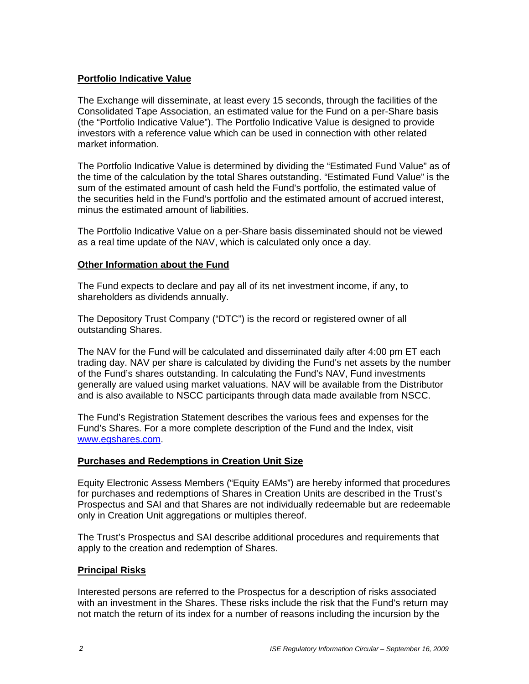### **Portfolio Indicative Value**

The Exchange will disseminate, at least every 15 seconds, through the facilities of the Consolidated Tape Association, an estimated value for the Fund on a per-Share basis (the "Portfolio Indicative Value"). The Portfolio Indicative Value is designed to provide investors with a reference value which can be used in connection with other related market information.

The Portfolio Indicative Value is determined by dividing the "Estimated Fund Value" as of the time of the calculation by the total Shares outstanding. "Estimated Fund Value" is the sum of the estimated amount of cash held the Fund's portfolio, the estimated value of the securities held in the Fund's portfolio and the estimated amount of accrued interest, minus the estimated amount of liabilities.

The Portfolio Indicative Value on a per-Share basis disseminated should not be viewed as a real time update of the NAV, which is calculated only once a day.

### **Other Information about the Fund**

The Fund expects to declare and pay all of its net investment income, if any, to shareholders as dividends annually.

The Depository Trust Company ("DTC") is the record or registered owner of all outstanding Shares.

The NAV for the Fund will be calculated and disseminated daily after 4:00 pm ET each trading day. NAV per share is calculated by dividing the Fund's net assets by the number of the Fund's shares outstanding. In calculating the Fund's NAV, Fund investments generally are valued using market valuations. NAV will be available from the Distributor and is also available to NSCC participants through data made available from NSCC.

The Fund's Registration Statement describes the various fees and expenses for the Fund's Shares. For a more complete description of the Fund and the Index, visit www.egshares.com.

### **Purchases and Redemptions in Creation Unit Size**

Equity Electronic Assess Members ("Equity EAMs") are hereby informed that procedures for purchases and redemptions of Shares in Creation Units are described in the Trust's Prospectus and SAI and that Shares are not individually redeemable but are redeemable only in Creation Unit aggregations or multiples thereof.

The Trust's Prospectus and SAI describe additional procedures and requirements that apply to the creation and redemption of Shares.

### **Principal Risks**

Interested persons are referred to the Prospectus for a description of risks associated with an investment in the Shares. These risks include the risk that the Fund's return may not match the return of its index for a number of reasons including the incursion by the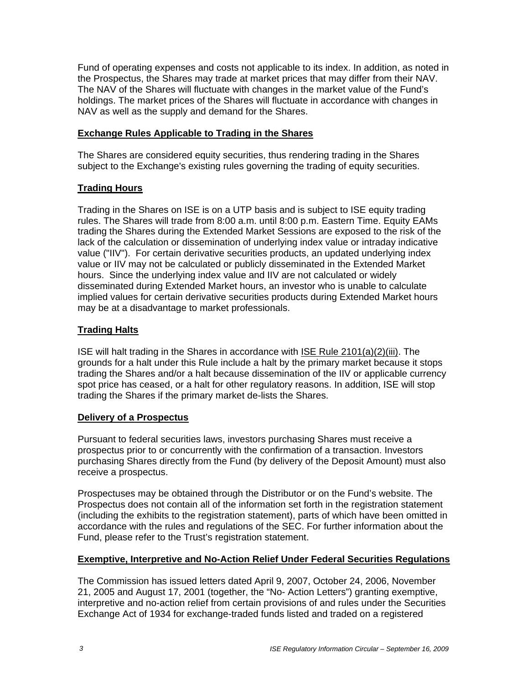Fund of operating expenses and costs not applicable to its index. In addition, as noted in the Prospectus, the Shares may trade at market prices that may differ from their NAV. The NAV of the Shares will fluctuate with changes in the market value of the Fund's holdings. The market prices of the Shares will fluctuate in accordance with changes in NAV as well as the supply and demand for the Shares.

### **Exchange Rules Applicable to Trading in the Shares**

The Shares are considered equity securities, thus rendering trading in the Shares subject to the Exchange's existing rules governing the trading of equity securities.

## **Trading Hours**

Trading in the Shares on ISE is on a UTP basis and is subject to ISE equity trading rules. The Shares will trade from 8:00 a.m. until 8:00 p.m. Eastern Time. Equity EAMs trading the Shares during the Extended Market Sessions are exposed to the risk of the lack of the calculation or dissemination of underlying index value or intraday indicative value ("IIV"). For certain derivative securities products, an updated underlying index value or IIV may not be calculated or publicly disseminated in the Extended Market hours. Since the underlying index value and IIV are not calculated or widely disseminated during Extended Market hours, an investor who is unable to calculate implied values for certain derivative securities products during Extended Market hours may be at a disadvantage to market professionals.

## **Trading Halts**

ISE will halt trading in the Shares in accordance with ISE Rule 2101(a)(2)(iii). The grounds for a halt under this Rule include a halt by the primary market because it stops trading the Shares and/or a halt because dissemination of the IIV or applicable currency spot price has ceased, or a halt for other regulatory reasons. In addition, ISE will stop trading the Shares if the primary market de-lists the Shares.

### **Delivery of a Prospectus**

Pursuant to federal securities laws, investors purchasing Shares must receive a prospectus prior to or concurrently with the confirmation of a transaction. Investors purchasing Shares directly from the Fund (by delivery of the Deposit Amount) must also receive a prospectus.

Prospectuses may be obtained through the Distributor or on the Fund's website. The Prospectus does not contain all of the information set forth in the registration statement (including the exhibits to the registration statement), parts of which have been omitted in accordance with the rules and regulations of the SEC. For further information about the Fund, please refer to the Trust's registration statement.

## **Exemptive, Interpretive and No-Action Relief Under Federal Securities Regulations**

The Commission has issued letters dated April 9, 2007, October 24, 2006, November 21, 2005 and August 17, 2001 (together, the "No- Action Letters") granting exemptive, interpretive and no-action relief from certain provisions of and rules under the Securities Exchange Act of 1934 for exchange-traded funds listed and traded on a registered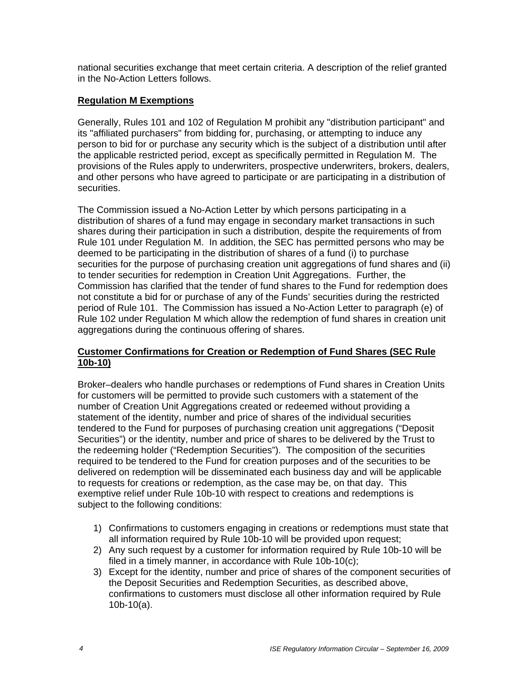national securities exchange that meet certain criteria. A description of the relief granted in the No-Action Letters follows.

### **Regulation M Exemptions**

Generally, Rules 101 and 102 of Regulation M prohibit any "distribution participant" and its "affiliated purchasers" from bidding for, purchasing, or attempting to induce any person to bid for or purchase any security which is the subject of a distribution until after the applicable restricted period, except as specifically permitted in Regulation M. The provisions of the Rules apply to underwriters, prospective underwriters, brokers, dealers, and other persons who have agreed to participate or are participating in a distribution of securities.

The Commission issued a No-Action Letter by which persons participating in a distribution of shares of a fund may engage in secondary market transactions in such shares during their participation in such a distribution, despite the requirements of from Rule 101 under Regulation M. In addition, the SEC has permitted persons who may be deemed to be participating in the distribution of shares of a fund (i) to purchase securities for the purpose of purchasing creation unit aggregations of fund shares and (ii) to tender securities for redemption in Creation Unit Aggregations. Further, the Commission has clarified that the tender of fund shares to the Fund for redemption does not constitute a bid for or purchase of any of the Funds' securities during the restricted period of Rule 101. The Commission has issued a No-Action Letter to paragraph (e) of Rule 102 under Regulation M which allow the redemption of fund shares in creation unit aggregations during the continuous offering of shares.

### **Customer Confirmations for Creation or Redemption of Fund Shares (SEC Rule 10b-10)**

Broker–dealers who handle purchases or redemptions of Fund shares in Creation Units for customers will be permitted to provide such customers with a statement of the number of Creation Unit Aggregations created or redeemed without providing a statement of the identity, number and price of shares of the individual securities tendered to the Fund for purposes of purchasing creation unit aggregations ("Deposit Securities") or the identity, number and price of shares to be delivered by the Trust to the redeeming holder ("Redemption Securities"). The composition of the securities required to be tendered to the Fund for creation purposes and of the securities to be delivered on redemption will be disseminated each business day and will be applicable to requests for creations or redemption, as the case may be, on that day. This exemptive relief under Rule 10b-10 with respect to creations and redemptions is subject to the following conditions:

- 1) Confirmations to customers engaging in creations or redemptions must state that all information required by Rule 10b-10 will be provided upon request;
- 2) Any such request by a customer for information required by Rule 10b-10 will be filed in a timely manner, in accordance with Rule 10b-10(c);
- 3) Except for the identity, number and price of shares of the component securities of the Deposit Securities and Redemption Securities, as described above, confirmations to customers must disclose all other information required by Rule 10b-10(a).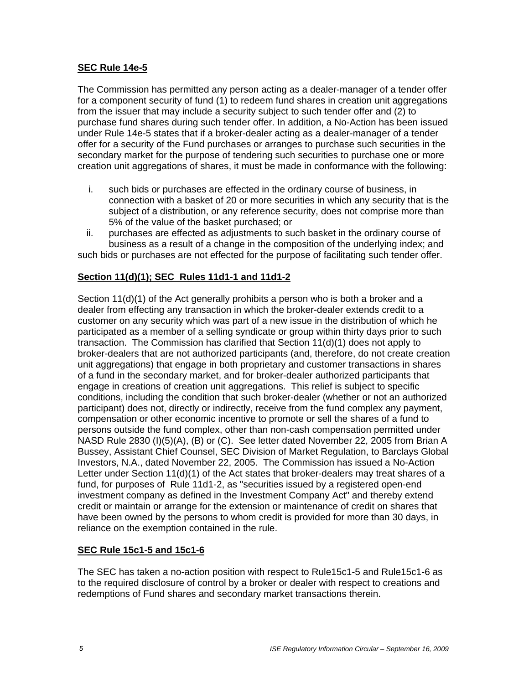### **SEC Rule 14e-5**

The Commission has permitted any person acting as a dealer-manager of a tender offer for a component security of fund (1) to redeem fund shares in creation unit aggregations from the issuer that may include a security subject to such tender offer and (2) to purchase fund shares during such tender offer. In addition, a No-Action has been issued under Rule 14e-5 states that if a broker-dealer acting as a dealer-manager of a tender offer for a security of the Fund purchases or arranges to purchase such securities in the secondary market for the purpose of tendering such securities to purchase one or more creation unit aggregations of shares, it must be made in conformance with the following:

- i. such bids or purchases are effected in the ordinary course of business, in connection with a basket of 20 or more securities in which any security that is the subject of a distribution, or any reference security, does not comprise more than 5% of the value of the basket purchased; or
- ii. purchases are effected as adjustments to such basket in the ordinary course of business as a result of a change in the composition of the underlying index; and

such bids or purchases are not effected for the purpose of facilitating such tender offer.

## **Section 11(d)(1); SEC Rules 11d1-1 and 11d1-2**

Section 11(d)(1) of the Act generally prohibits a person who is both a broker and a dealer from effecting any transaction in which the broker-dealer extends credit to a customer on any security which was part of a new issue in the distribution of which he participated as a member of a selling syndicate or group within thirty days prior to such transaction. The Commission has clarified that Section 11(d)(1) does not apply to broker-dealers that are not authorized participants (and, therefore, do not create creation unit aggregations) that engage in both proprietary and customer transactions in shares of a fund in the secondary market, and for broker-dealer authorized participants that engage in creations of creation unit aggregations. This relief is subject to specific conditions, including the condition that such broker-dealer (whether or not an authorized participant) does not, directly or indirectly, receive from the fund complex any payment, compensation or other economic incentive to promote or sell the shares of a fund to persons outside the fund complex, other than non-cash compensation permitted under NASD Rule 2830 (I)(5)(A), (B) or (C). See letter dated November 22, 2005 from Brian A Bussey, Assistant Chief Counsel, SEC Division of Market Regulation, to Barclays Global Investors, N.A., dated November 22, 2005. The Commission has issued a No-Action Letter under Section 11(d)(1) of the Act states that broker-dealers may treat shares of a fund, for purposes of Rule 11d1-2, as "securities issued by a registered open-end investment company as defined in the Investment Company Act" and thereby extend credit or maintain or arrange for the extension or maintenance of credit on shares that have been owned by the persons to whom credit is provided for more than 30 days, in reliance on the exemption contained in the rule.

### **SEC Rule 15c1-5 and 15c1-6**

The SEC has taken a no-action position with respect to Rule15c1-5 and Rule15c1-6 as to the required disclosure of control by a broker or dealer with respect to creations and redemptions of Fund shares and secondary market transactions therein.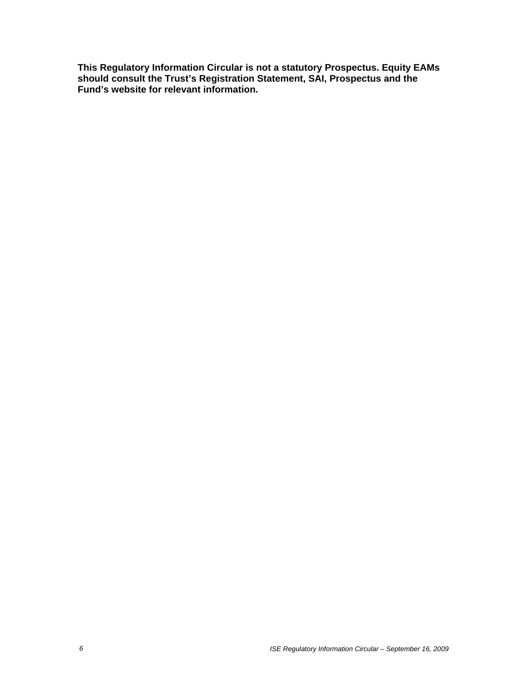**This Regulatory Information Circular is not a statutory Prospectus. Equity EAMs should consult the Trust's Registration Statement, SAI, Prospectus and the Fund's website for relevant information.**